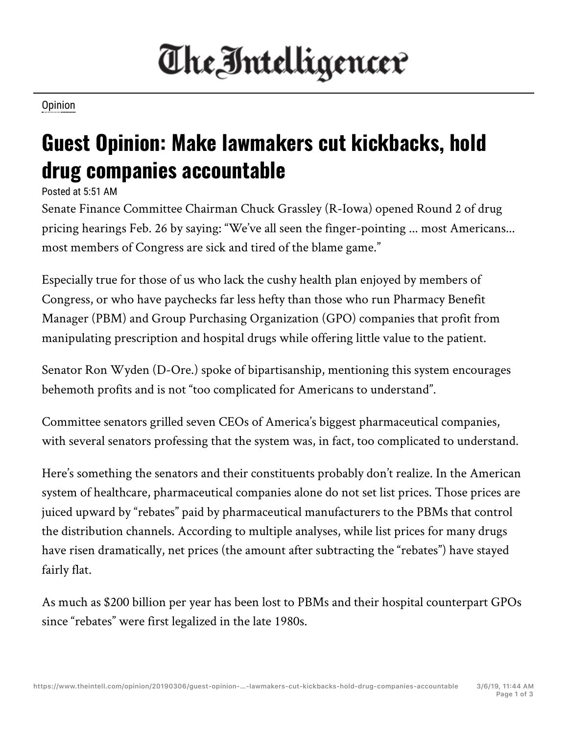## The Intelligencer

Opinion

## **Guest Opinion: Make lawmakers cut kickbacks, hold drug companies accountable**

Posted at 5:51 AM

Senate Finance Committee Chairman Chuck Grassley (R-Iowa) opened Round 2 of drug pricing hearings Feb. 26 by saying: "We've all seen the finger-pointing ... most Americans... most members of Congress are sick and tired of the blame game."

Especially true for those of us who lack the cushy health plan enjoyed by members of Congress, or who have paychecks far less hefty than those who run Pharmacy Benefit Manager (PBM) and Group Purchasing Organization (GPO) companies that profit from manipulating prescription and hospital drugs while offering little value to the patient.

Senator Ron Wyden (D-Ore.) spoke of bipartisanship, mentioning this system encourages behemoth profits and is not "too complicated for Americans to understand".

Committee senators grilled seven CEOs of America's biggest pharmaceutical companies, with several senators professing that the system was, in fact, too complicated to understand.

Here's something the senators and their constituents probably don't realize. In the American system of healthcare, pharmaceutical companies alone do not set list prices. Those prices are juiced upward by "rebates" paid by pharmaceutical manufacturers to the PBMs that control the distribution channels. According to multiple analyses, while list prices for many drugs have risen dramatically, net prices (the amount after subtracting the "rebates") have stayed fairly flat.

As much as \$200 billion per year has been lost to PBMs and their hospital counterpart GPOs since "rebates" were first legalized in the late 1980s.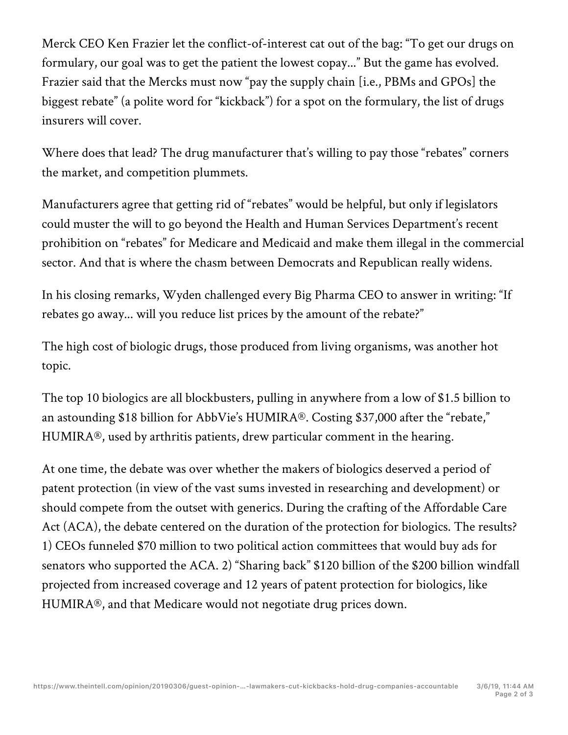Merck CEO Ken Frazier let the conflict-of-interest cat out of the bag: "To get our drugs on formulary, our goal was to get the patient the lowest copay..." But the game has evolved. Frazier said that the Mercks must now "pay the supply chain [i.e., PBMs and GPOs] the biggest rebate" (a polite word for "kickback") for a spot on the formulary, the list of drugs insurers will cover.

Where does that lead? The drug manufacturer that's willing to pay those "rebates" corners the market, and competition plummets.

Manufacturers agree that getting rid of "rebates" would be helpful, but only if legislators could muster the will to go beyond the Health and Human Services Department's recent prohibition on "rebates" for Medicare and Medicaid and make them illegal in the commercial sector. And that is where the chasm between Democrats and Republican really widens.

In his closing remarks, Wyden challenged every Big Pharma CEO to answer in writing: "If rebates go away... will you reduce list prices by the amount of the rebate?"

The high cost of biologic drugs, those produced from living organisms, was another hot topic.

The top 10 biologics are all blockbusters, pulling in anywhere from a low of \$1.5 billion to an astounding \$18 billion for AbbVie's HUMIRA®. Costing \$37,000 after the "rebate," HUMIRA®, used by arthritis patients, drew particular comment in the hearing.

At one time, the debate was over whether the makers of biologics deserved a period of patent protection (in view of the vast sums invested in researching and development) or should compete from the outset with generics. During the crafting of the Affordable Care Act (ACA), the debate centered on the duration of the protection for biologics. The results? 1) CEOs funneled \$70 million to two political action committees that would buy ads for senators who supported the ACA. 2) "Sharing back" \$120 billion of the \$200 billion windfall projected from increased coverage and 12 years of patent protection for biologics, like HUMIRA®, and that Medicare would not negotiate drug prices down.